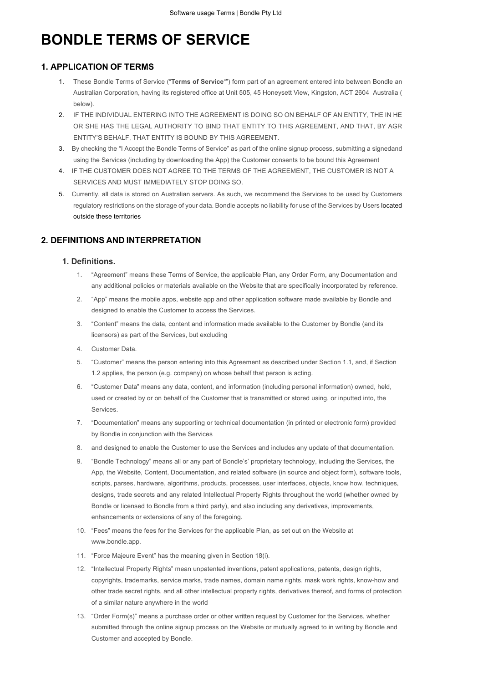# **BONDLE TERMS OF SERVICE**

# **1. APPLICATION OF TERMS**

- 1. These Bondle Terms of Service ("**Terms of Service**"") form part of an agreement entered into between Bondle an Australian Corporation, having its registered office at Unit 505, 45 Honeysett View, Kingston, ACT 2604 Australia ( below).
- 2. IF THE INDIVIDUAL ENTERING INTO THE AGREEMENT IS DOING SO ON BEHALF OF AN ENTITY, THE IN HE OR SHE HAS THE LEGAL AUTHORITY TO BIND THAT ENTITY TO THIS AGREEMENT, AND THAT, BY AGR ENTITY'S BEHALF, THAT ENTITY IS BOUND BY THIS AGREEMENT.
- 3. By checking the "I Accept the Bondle Terms of Service" as part of the online signup process, submitting a signedand using the Services (including by downloading the App) the Customer consents to be bound this Agreement
- 4. IF THE CUSTOMER DOES NOT AGREE TO THE TERMS OF THE AGREEMENT, THE CUSTOMER IS NOT A SERVICES AND MUST IMMEDIATELY STOP DOING SO.
- 5. Currently, all data is stored on Australian servers. As such, we recommend the Services to be used by Customers regulatory restrictions on the storage of your data. Bondle accepts no liability for use of the Services by Users located outside these territories

# **2. DEFINITIONS AND INTERPRETATION**

#### **1. Definitions.**

- 1. "Agreement" means these Terms of Service, the applicable Plan, any Order Form, any Documentation and any additional policies or materials available on the Website that are specifically incorporated by reference.
- 2. "App" means the mobile apps, website app and other application software made available by Bondle and designed to enable the Customer to access the Services.
- 3. "Content" means the data, content and information made available to the Customer by Bondle (and its licensors) as part of the Services, but excluding
- 4. Customer Data.
- 5. "Customer" means the person entering into this Agreement as described under Section 1.1, and, if Section 1.2 applies, the person (e.g. company) on whose behalf that person is acting.
- 6. "Customer Data" means any data, content, and information (including personal information) owned, held, used or created by or on behalf of the Customer that is transmitted or stored using, or inputted into, the Services.
- 7. "Documentation" means any supporting or technical documentation (in printed or electronic form) provided by Bondle in conjunction with the Services
- 8. and designed to enable the Customer to use the Services and includes any update of that documentation.
- 9. "Bondle Technology" means all or any part of Bondle's' proprietary technology, including the Services, the App, the Website, Content, Documentation, and related software (in source and object form), software tools, scripts, parses, hardware, algorithms, products, processes, user interfaces, objects, know how, techniques, designs, trade secrets and any related Intellectual Property Rights throughout the world (whether owned by Bondle or licensed to Bondle from a third party), and also including any derivatives, improvements, enhancements or extensions of any of the foregoing.
- 10. "Fees" means the fees for the Services for the applicable Plan, as set out on the Website at www.bondle.app.
- 11. "Force Majeure Event" has the meaning given in Section 18(i).
- 12. "Intellectual Property Rights" mean unpatented inventions, patent applications, patents, design rights, copyrights, trademarks, service marks, trade names, domain name rights, mask work rights, know-how and other trade secret rights, and all other intellectual property rights, derivatives thereof, and forms of protection of a similar nature anywhere in the world
- 13. "Order Form(s)" means a purchase order or other written request by Customer for the Services, whether submitted through the online signup process on the Website or mutually agreed to in writing by Bondle and Customer and accepted by Bondle.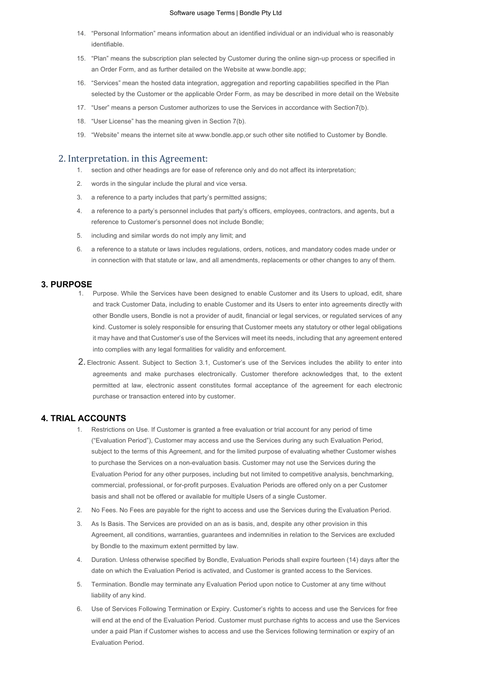#### Software usage Terms | Bondle Pty Ltd

- 14. "Personal Information" means information about an identified individual or an individual who is reasonably identifiable.
- 15. "Plan" means the subscription plan selected by Customer during the online sign-up process or specified in an Order Form, and as further detailed on the Website at www.bondle.app;
- 16. "Services" mean the hosted data integration, aggregation and reporting capabilities specified in the Plan selected by the Customer or the applicable Order Form, as may be described in more detail on the Website
- 17. "User" means a person Customer authorizes to use the Services in accordance with Section7(b).
- 18. "User License" has the meaning given in Section 7(b).
- 19. "Website" means the internet site at www.bondle.app,or such other site notified to Customer by Bondle.

#### 2. Interpretation. in this Agreement:

- 1. section and other headings are for ease of reference only and do not affect its interpretation;
- 2. words in the singular include the plural and vice versa.
- 3. a reference to a party includes that party's permitted assigns;
- 4. a reference to a party's personnel includes that party's officers, employees, contractors, and agents, but a reference to Customer's personnel does not include Bondle;
- 5. including and similar words do not imply any limit; and
- 6. a reference to a statute or laws includes regulations, orders, notices, and mandatory codes made under or in connection with that statute or law, and all amendments, replacements or other changes to any of them.

#### **3. PURPOSE**

- 1. Purpose. While the Services have been designed to enable Customer and its Users to upload, edit, share and track Customer Data, including to enable Customer and its Users to enter into agreements directly with other Bondle users, Bondle is not a provider of audit, financial or legal services, or regulated services of any kind. Customer is solely responsible for ensuring that Customer meets any statutory or other legal obligations it may have and that Customer's use of the Services will meet its needs, including that any agreement entered into complies with any legal formalities for validity and enforcement.
- 2. Electronic Assent. Subject to Section 3.1, Customer's use of the Services includes the ability to enter into agreements and make purchases electronically. Customer therefore acknowledges that, to the extent permitted at law, electronic assent constitutes formal acceptance of the agreement for each electronic purchase or transaction entered into by customer.

#### **4. TRIAL ACCOUNTS**

- 1. Restrictions on Use. If Customer is granted a free evaluation or trial account for any period of time ("Evaluation Period"), Customer may access and use the Services during any such Evaluation Period, subject to the terms of this Agreement, and for the limited purpose of evaluating whether Customer wishes to purchase the Services on a non-evaluation basis. Customer may not use the Services during the Evaluation Period for any other purposes, including but not limited to competitive analysis, benchmarking, commercial, professional, or for-profit purposes. Evaluation Periods are offered only on a per Customer basis and shall not be offered or available for multiple Users of a single Customer.
- 2. No Fees. No Fees are payable for the right to access and use the Services during the Evaluation Period.
- 3. As Is Basis. The Services are provided on an as is basis, and, despite any other provision in this Agreement, all conditions, warranties, guarantees and indemnities in relation to the Services are excluded by Bondle to the maximum extent permitted by law.
- 4. Duration. Unless otherwise specified by Bondle, Evaluation Periods shall expire fourteen (14) days after the date on which the Evaluation Period is activated, and Customer is granted access to the Services.
- 5. Termination. Bondle may terminate any Evaluation Period upon notice to Customer at any time without liability of any kind.
- 6. Use of Services Following Termination or Expiry. Customer's rights to access and use the Services for free will end at the end of the Evaluation Period. Customer must purchase rights to access and use the Services under a paid Plan if Customer wishes to access and use the Services following termination or expiry of an Evaluation Period.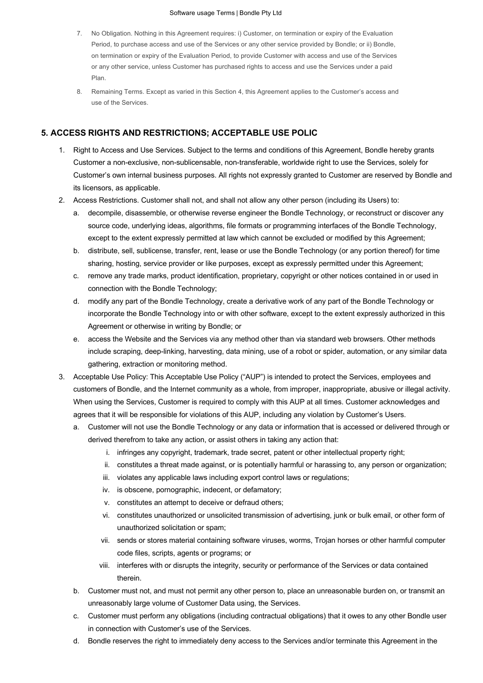#### Software usage Terms | Bondle Pty Ltd

- 7. No Obligation. Nothing in this Agreement requires: i) Customer, on termination or expiry of the Evaluation Period, to purchase access and use of the Services or any other service provided by Bondle; or ii) Bondle, on termination or expiry of the Evaluation Period, to provide Customer with access and use of the Services or any other service, unless Customer has purchased rights to access and use the Services under a paid Plan.
- 8. Remaining Terms. Except as varied in this Section 4, this Agreement applies to the Customer's access and use of the Services.

# **5. ACCESS RIGHTS AND RESTRICTIONS; ACCEPTABLE USE POLIC**

- 1. Right to Access and Use Services. Subject to the terms and conditions of this Agreement, Bondle hereby grants Customer a non-exclusive, non-sublicensable, non-transferable, worldwide right to use the Services, solely for Customer's own internal business purposes. All rights not expressly granted to Customer are reserved by Bondle and its licensors, as applicable.
- 2. Access Restrictions. Customer shall not, and shall not allow any other person (including its Users) to:
	- a. decompile, disassemble, or otherwise reverse engineer the Bondle Technology, or reconstruct or discover any source code, underlying ideas, algorithms, file formats or programming interfaces of the Bondle Technology, except to the extent expressly permitted at law which cannot be excluded or modified by this Agreement;
	- b. distribute, sell, sublicense, transfer, rent, lease or use the Bondle Technology (or any portion thereof) for time sharing, hosting, service provider or like purposes, except as expressly permitted under this Agreement;
	- c. remove any trade marks, product identification, proprietary, copyright or other notices contained in or used in connection with the Bondle Technology;
	- d. modify any part of the Bondle Technology, create a derivative work of any part of the Bondle Technology or incorporate the Bondle Technology into or with other software, except to the extent expressly authorized in this Agreement or otherwise in writing by Bondle; or
	- e. access the Website and the Services via any method other than via standard web browsers. Other methods include scraping, deep-linking, harvesting, data mining, use of a robot or spider, automation, or any similar data gathering, extraction or monitoring method.
- 3. Acceptable Use Policy: This Acceptable Use Policy ("AUP") is intended to protect the Services, employees and customers of Bondle, and the Internet community as a whole, from improper, inappropriate, abusive or illegal activity. When using the Services, Customer is required to comply with this AUP at all times. Customer acknowledges and agrees that it will be responsible for violations of this AUP, including any violation by Customer's Users.
	- a. Customer will not use the Bondle Technology or any data or information that is accessed or delivered through or derived therefrom to take any action, or assist others in taking any action that:
		- i. infringes any copyright, trademark, trade secret, patent or other intellectual property right;
		- ii. constitutes a threat made against, or is potentially harmful or harassing to, any person or organization;
		- iii. violates any applicable laws including export control laws or regulations;
		- iv. is obscene, pornographic, indecent, or defamatory;
		- v. constitutes an attempt to deceive or defraud others;
		- vi. constitutes unauthorized or unsolicited transmission of advertising, junk or bulk email, or other form of unauthorized solicitation or spam;
		- vii. sends or stores material containing software viruses, worms, Trojan horses or other harmful computer code files, scripts, agents or programs; or
		- viii. interferes with or disrupts the integrity, security or performance of the Services or data contained therein.
	- b. Customer must not, and must not permit any other person to, place an unreasonable burden on, or transmit an unreasonably large volume of Customer Data using, the Services.
	- c. Customer must perform any obligations (including contractual obligations) that it owes to any other Bondle user in connection with Customer's use of the Services.
	- d. Bondle reserves the right to immediately deny access to the Services and/or terminate this Agreement in the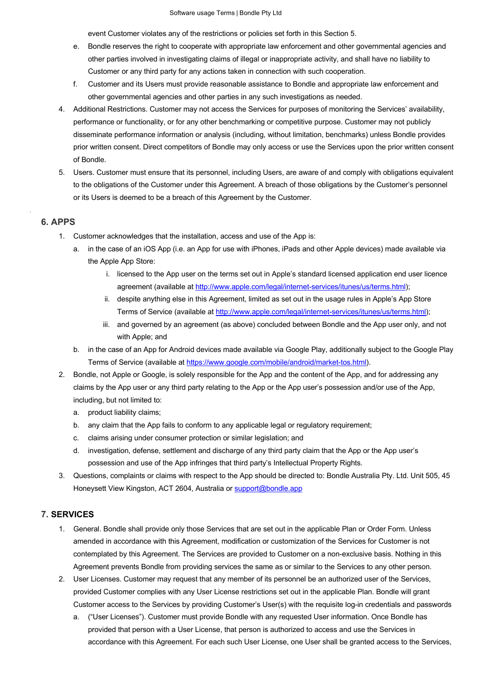event Customer violates any of the restrictions or policies set forth in this Section 5.

- e. Bondle reserves the right to cooperate with appropriate law enforcement and other governmental agencies and other parties involved in investigating claims of illegal or inappropriate activity, and shall have no liability to Customer or any third party for any actions taken in connection with such cooperation.
- f. Customer and its Users must provide reasonable assistance to Bondle and appropriate law enforcement and other governmental agencies and other parties in any such investigations as needed.
- 4. Additional Restrictions. Customer may not access the Services for purposes of monitoring the Services' availability, performance or functionality, or for any other benchmarking or competitive purpose. Customer may not publicly disseminate performance information or analysis (including, without limitation, benchmarks) unless Bondle provides prior written consent. Direct competitors of Bondle may only access or use the Services upon the prior written consent of Bondle.
- 5. Users. Customer must ensure that its personnel, including Users, are aware of and comply with obligations equivalent to the obligations of the Customer under this Agreement. A breach of those obligations by the Customer's personnel or its Users is deemed to be a breach of this Agreement by the Customer.

## **6. APPS**

.

- 1. Customer acknowledges that the installation, access and use of the App is:
	- a. in the case of an iOS App (i.e. an App for use with iPhones, iPads and other Apple devices) made available via the Apple App Store:
		- i. licensed to the App user on the terms set out in Apple's standard licensed application end user licence agreement (available at http://www.apple.com/legal/internet-services/itunes/us/terms.html);
		- ii. despite anything else in this Agreement, limited as set out in the usage rules in Apple's App Store Terms of Service (available at http://www.apple.com/legal/internet-services/itunes/us/terms.html);
		- iii. and governed by an agreement (as above) concluded between Bondle and the App user only, and not with Apple; and
	- b. in the case of an App for Android devices made available via Google Play, additionally subject to the Google Play Terms of Service (available at https://www.google.com/mobile/android/market-tos.html).
- 2. Bondle, not Apple or Google, is solely responsible for the App and the content of the App, and for addressing any claims by the App user or any third party relating to the App or the App user's possession and/or use of the App, including, but not limited to:
	- a. product liability claims;
	- b. any claim that the App fails to conform to any applicable legal or regulatory requirement;
	- c. claims arising under consumer protection or similar legislation; and
	- d. investigation, defense, settlement and discharge of any third party claim that the App or the App user's possession and use of the App infringes that third party's Intellectual Property Rights.
- 3. Questions, complaints or claims with respect to the App should be directed to: Bondle Australia Pty. Ltd. Unit 505, 45 Honeysett View Kingston, ACT 2604, Australia or support@bondle.app

# **7. SERVICES**

- 1. General. Bondle shall provide only those Services that are set out in the applicable Plan or Order Form. Unless amended in accordance with this Agreement, modification or customization of the Services for Customer is not contemplated by this Agreement. The Services are provided to Customer on a non-exclusive basis. Nothing in this Agreement prevents Bondle from providing services the same as or similar to the Services to any other person.
- 2. User Licenses. Customer may request that any member of its personnel be an authorized user of the Services, provided Customer complies with any User License restrictions set out in the applicable Plan. Bondle will grant Customer access to the Services by providing Customer's User(s) with the requisite log-in credentials and passwords
	- a. ("User Licenses"). Customer must provide Bondle with any requested User information. Once Bondle has provided that person with a User License, that person is authorized to access and use the Services in accordance with this Agreement. For each such User License, one User shall be granted access to the Services,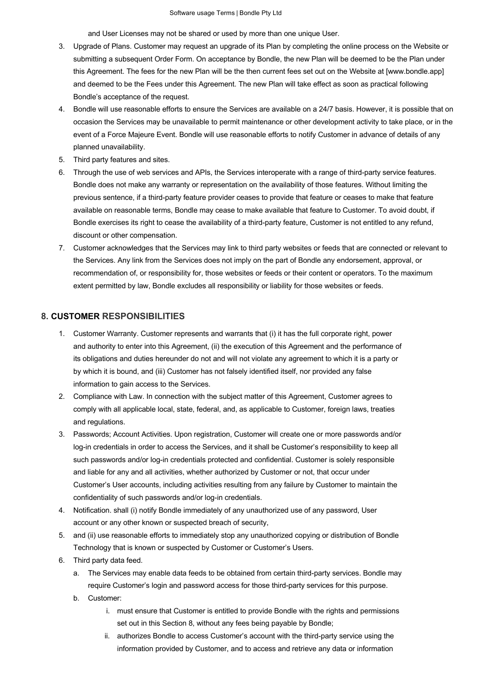and User Licenses may not be shared or used by more than one unique User.

- 3. Upgrade of Plans. Customer may request an upgrade of its Plan by completing the online process on the Website or submitting a subsequent Order Form. On acceptance by Bondle, the new Plan will be deemed to be the Plan under this Agreement. The fees for the new Plan will be the then current fees set out on the Website at [www.bondle.app] and deemed to be the Fees under this Agreement. The new Plan will take effect as soon as practical following Bondle's acceptance of the request.
- 4. Bondle will use reasonable efforts to ensure the Services are available on a 24/7 basis. However, it is possible that on occasion the Services may be unavailable to permit maintenance or other development activity to take place, or in the event of a Force Majeure Event. Bondle will use reasonable efforts to notify Customer in advance of details of any planned unavailability.
- 5. Third party features and sites.
- 6. Through the use of web services and APIs, the Services interoperate with a range of third-party service features. Bondle does not make any warranty or representation on the availability of those features. Without limiting the previous sentence, if a third-party feature provider ceases to provide that feature or ceases to make that feature available on reasonable terms, Bondle may cease to make available that feature to Customer. To avoid doubt, if Bondle exercises its right to cease the availability of a third-party feature, Customer is not entitled to any refund, discount or other compensation.
- 7. Customer acknowledges that the Services may link to third party websites or feeds that are connected or relevant to the Services. Any link from the Services does not imply on the part of Bondle any endorsement, approval, or recommendation of, or responsibility for, those websites or feeds or their content or operators. To the maximum extent permitted by law, Bondle excludes all responsibility or liability for those websites or feeds.

#### **8. CUSTOMER RESPONSIBILITIES**

- 1. Customer Warranty. Customer represents and warrants that (i) it has the full corporate right, power and authority to enter into this Agreement, (ii) the execution of this Agreement and the performance of its obligations and duties hereunder do not and will not violate any agreement to which it is a party or by which it is bound, and (iii) Customer has not falsely identified itself, nor provided any false information to gain access to the Services.
- 2. Compliance with Law. In connection with the subject matter of this Agreement, Customer agrees to comply with all applicable local, state, federal, and, as applicable to Customer, foreign laws, treaties and regulations.
- 3. Passwords; Account Activities. Upon registration, Customer will create one or more passwords and/or log-in credentials in order to access the Services, and it shall be Customer's responsibility to keep all such passwords and/or log-in credentials protected and confidential. Customer is solely responsible and liable for any and all activities, whether authorized by Customer or not, that occur under Customer's User accounts, including activities resulting from any failure by Customer to maintain the confidentiality of such passwords and/or log-in credentials.
- 4. Notification. shall (i) notify Bondle immediately of any unauthorized use of any password, User account or any other known or suspected breach of security,
- 5. and (ii) use reasonable efforts to immediately stop any unauthorized copying or distribution of Bondle Technology that is known or suspected by Customer or Customer's Users.
- 6. Third party data feed.
	- a. The Services may enable data feeds to be obtained from certain third-party services. Bondle may require Customer's login and password access for those third-party services for this purpose.
	- b. Customer:
		- i. must ensure that Customer is entitled to provide Bondle with the rights and permissions set out in this Section 8, without any fees being payable by Bondle;
		- ii. authorizes Bondle to access Customer's account with the third-party service using the information provided by Customer, and to access and retrieve any data or information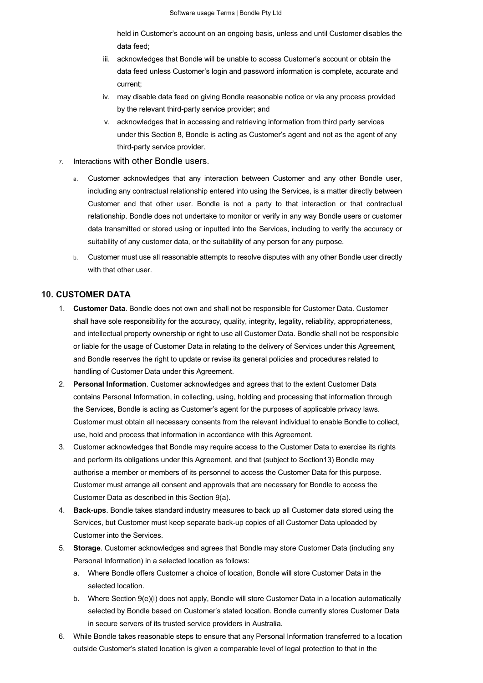held in Customer's account on an ongoing basis, unless and until Customer disables the data feed;

- iii. acknowledges that Bondle will be unable to access Customer's account or obtain the data feed unless Customer's login and password information is complete, accurate and current;
- iv. may disable data feed on giving Bondle reasonable notice or via any process provided by the relevant third-party service provider; and
- v. acknowledges that in accessing and retrieving information from third party services under this Section 8, Bondle is acting as Customer's agent and not as the agent of any third-party service provider.
- 7. Interactions with other Bondle users.
	- a. Customer acknowledges that any interaction between Customer and any other Bondle user, including any contractual relationship entered into using the Services, is a matter directly between Customer and that other user. Bondle is not a party to that interaction or that contractual relationship. Bondle does not undertake to monitor or verify in any way Bondle users or customer data transmitted or stored using or inputted into the Services, including to verify the accuracy or suitability of any customer data, or the suitability of any person for any purpose.
	- b. Customer must use all reasonable attempts to resolve disputes with any other Bondle user directly with that other user.

#### **10. CUSTOMER DATA**

- 1. **Customer Data**. Bondle does not own and shall not be responsible for Customer Data. Customer shall have sole responsibility for the accuracy, quality, integrity, legality, reliability, appropriateness, and intellectual property ownership or right to use all Customer Data. Bondle shall not be responsible or liable for the usage of Customer Data in relating to the delivery of Services under this Agreement, and Bondle reserves the right to update or revise its general policies and procedures related to handling of Customer Data under this Agreement.
- 2. **Personal Information**. Customer acknowledges and agrees that to the extent Customer Data contains Personal Information, in collecting, using, holding and processing that information through the Services, Bondle is acting as Customer's agent for the purposes of applicable privacy laws. Customer must obtain all necessary consents from the relevant individual to enable Bondle to collect, use, hold and process that information in accordance with this Agreement.
- 3. Customer acknowledges that Bondle may require access to the Customer Data to exercise its rights and perform its obligations under this Agreement, and that (subject to Section13) Bondle may authorise a member or members of its personnel to access the Customer Data for this purpose. Customer must arrange all consent and approvals that are necessary for Bondle to access the Customer Data as described in this Section 9(a).
- 4. **Back-ups**. Bondle takes standard industry measures to back up all Customer data stored using the Services, but Customer must keep separate back-up copies of all Customer Data uploaded by Customer into the Services.
- 5. **Storage**. Customer acknowledges and agrees that Bondle may store Customer Data (including any Personal Information) in a selected location as follows:
	- a. Where Bondle offers Customer a choice of location, Bondle will store Customer Data in the selected location.
	- b. Where Section 9(e)(i) does not apply, Bondle will store Customer Data in a location automatically selected by Bondle based on Customer's stated location. Bondle currently stores Customer Data in secure servers of its trusted service providers in Australia.
- 6. While Bondle takes reasonable steps to ensure that any Personal Information transferred to a location outside Customer's stated location is given a comparable level of legal protection to that in the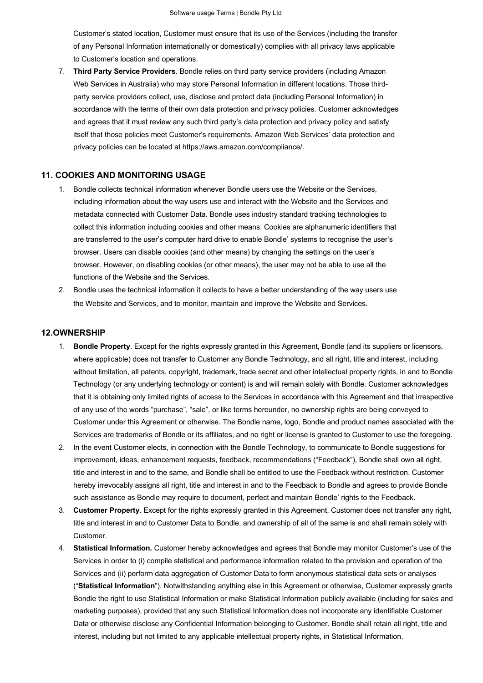Customer's stated location, Customer must ensure that its use of the Services (including the transfer of any Personal Information internationally or domestically) complies with all privacy laws applicable to Customer's location and operations.

7. **Third Party Service Providers**. Bondle relies on third party service providers (including Amazon Web Services in Australia) who may store Personal Information in different locations. Those thirdparty service providers collect, use, disclose and protect data (including Personal Information) in accordance with the terms of their own data protection and privacy policies. Customer acknowledges and agrees that it must review any such third party's data protection and privacy policy and satisfy itself that those policies meet Customer's requirements. Amazon Web Services' data protection and privacy policies can be located at https://aws.amazon.com/compliance/.

#### **11. COOKIES AND MONITORING USAGE**

- 1. Bondle collects technical information whenever Bondle users use the Website or the Services, including information about the way users use and interact with the Website and the Services and metadata connected with Customer Data. Bondle uses industry standard tracking technologies to collect this information including cookies and other means. Cookies are alphanumeric identifiers that are transferred to the user's computer hard drive to enable Bondle' systems to recognise the user's browser. Users can disable cookies (and other means) by changing the settings on the user's browser. However, on disabling cookies (or other means), the user may not be able to use all the functions of the Website and the Services.
- 2. Bondle uses the technical information it collects to have a better understanding of the way users use the Website and Services, and to monitor, maintain and improve the Website and Services.

#### **12.OWNERSHIP**

- 1. **Bondle Property**. Except for the rights expressly granted in this Agreement, Bondle (and its suppliers or licensors, where applicable) does not transfer to Customer any Bondle Technology, and all right, title and interest, including without limitation, all patents, copyright, trademark, trade secret and other intellectual property rights, in and to Bondle Technology (or any underlying technology or content) is and will remain solely with Bondle. Customer acknowledges that it is obtaining only limited rights of access to the Services in accordance with this Agreement and that irrespective of any use of the words "purchase", "sale", or like terms hereunder, no ownership rights are being conveyed to Customer under this Agreement or otherwise. The Bondle name, logo, Bondle and product names associated with the Services are trademarks of Bondle or its affiliates, and no right or license is granted to Customer to use the foregoing.
- 2. In the event Customer elects, in connection with the Bondle Technology, to communicate to Bondle suggestions for improvement, ideas, enhancement requests, feedback, recommendations ("Feedback"), Bondle shall own all right, title and interest in and to the same, and Bondle shall be entitled to use the Feedback without restriction. Customer hereby irrevocably assigns all right, title and interest in and to the Feedback to Bondle and agrees to provide Bondle such assistance as Bondle may require to document, perfect and maintain Bondle' rights to the Feedback.
- 3. **Customer Property**. Except for the rights expressly granted in this Agreement, Customer does not transfer any right, title and interest in and to Customer Data to Bondle, and ownership of all of the same is and shall remain solely with Customer.
- 4. **Statistical Information.** Customer hereby acknowledges and agrees that Bondle may monitor Customer's use of the Services in order to (i) compile statistical and performance information related to the provision and operation of the Services and (ii) perform data aggregation of Customer Data to form anonymous statistical data sets or analyses ("**Statistical Information**"). Notwithstanding anything else in this Agreement or otherwise, Customer expressly grants Bondle the right to use Statistical Information or make Statistical Information publicly available (including for sales and marketing purposes), provided that any such Statistical Information does not incorporate any identifiable Customer Data or otherwise disclose any Confidential Information belonging to Customer. Bondle shall retain all right, title and interest, including but not limited to any applicable intellectual property rights, in Statistical Information.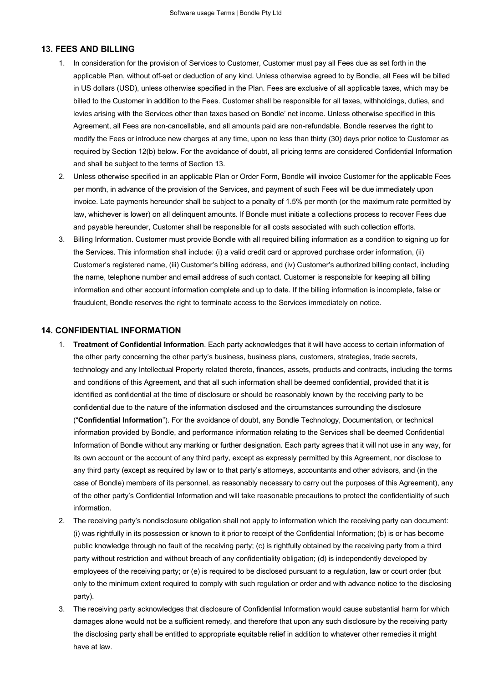#### **13. FEES AND BILLING**

- 1. In consideration for the provision of Services to Customer, Customer must pay all Fees due as set forth in the applicable Plan, without off-set or deduction of any kind. Unless otherwise agreed to by Bondle, all Fees will be billed in US dollars (USD), unless otherwise specified in the Plan. Fees are exclusive of all applicable taxes, which may be billed to the Customer in addition to the Fees. Customer shall be responsible for all taxes, withholdings, duties, and levies arising with the Services other than taxes based on Bondle' net income. Unless otherwise specified in this Agreement, all Fees are non-cancellable, and all amounts paid are non-refundable. Bondle reserves the right to modify the Fees or introduce new charges at any time, upon no less than thirty (30) days prior notice to Customer as required by Section 12(b) below. For the avoidance of doubt, all pricing terms are considered Confidential Information and shall be subject to the terms of Section 13.
- 2. Unless otherwise specified in an applicable Plan or Order Form, Bondle will invoice Customer for the applicable Fees per month, in advance of the provision of the Services, and payment of such Fees will be due immediately upon invoice. Late payments hereunder shall be subject to a penalty of 1.5% per month (or the maximum rate permitted by law, whichever is lower) on all delinquent amounts. If Bondle must initiate a collections process to recover Fees due and payable hereunder, Customer shall be responsible for all costs associated with such collection efforts.
- 3. Billing Information. Customer must provide Bondle with all required billing information as a condition to signing up for the Services. This information shall include: (i) a valid credit card or approved purchase order information, (ii) Customer's registered name, (iii) Customer's billing address, and (iv) Customer's authorized billing contact, including the name, telephone number and email address of such contact. Customer is responsible for keeping all billing information and other account information complete and up to date. If the billing information is incomplete, false or fraudulent, Bondle reserves the right to terminate access to the Services immediately on notice.

#### **14. CONFIDENTIAL INFORMATION**

- 1. **Treatment of Confidential Information**. Each party acknowledges that it will have access to certain information of the other party concerning the other party's business, business plans, customers, strategies, trade secrets, technology and any Intellectual Property related thereto, finances, assets, products and contracts, including the terms and conditions of this Agreement, and that all such information shall be deemed confidential, provided that it is identified as confidential at the time of disclosure or should be reasonably known by the receiving party to be confidential due to the nature of the information disclosed and the circumstances surrounding the disclosure ("**Confidential Information**"). For the avoidance of doubt, any Bondle Technology, Documentation, or technical information provided by Bondle, and performance information relating to the Services shall be deemed Confidential Information of Bondle without any marking or further designation. Each party agrees that it will not use in any way, for its own account or the account of any third party, except as expressly permitted by this Agreement, nor disclose to any third party (except as required by law or to that party's attorneys, accountants and other advisors, and (in the case of Bondle) members of its personnel, as reasonably necessary to carry out the purposes of this Agreement), any of the other party's Confidential Information and will take reasonable precautions to protect the confidentiality of such information.
- 2. The receiving party's nondisclosure obligation shall not apply to information which the receiving party can document: (i) was rightfully in its possession or known to it prior to receipt of the Confidential Information; (b) is or has become public knowledge through no fault of the receiving party; (c) is rightfully obtained by the receiving party from a third party without restriction and without breach of any confidentiality obligation; (d) is independently developed by employees of the receiving party; or (e) is required to be disclosed pursuant to a regulation, law or court order (but only to the minimum extent required to comply with such regulation or order and with advance notice to the disclosing party).
- 3. The receiving party acknowledges that disclosure of Confidential Information would cause substantial harm for which damages alone would not be a sufficient remedy, and therefore that upon any such disclosure by the receiving party the disclosing party shall be entitled to appropriate equitable relief in addition to whatever other remedies it might have at law.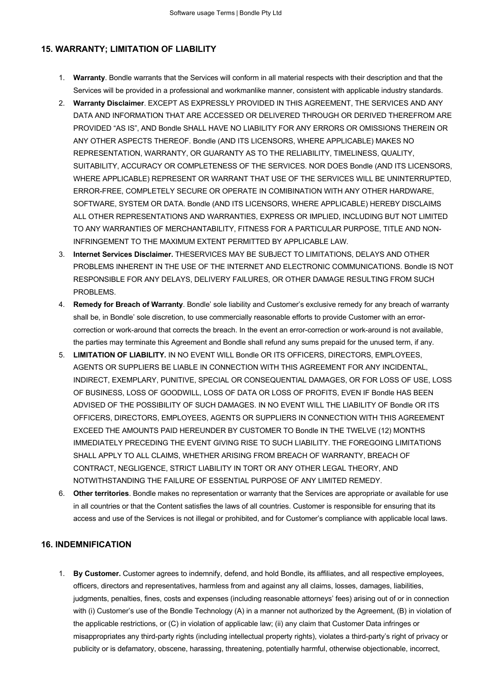# **15. WARRANTY; LIMITATION OF LIABILITY**

- 1. **Warranty**. Bondle warrants that the Services will conform in all material respects with their description and that the Services will be provided in a professional and workmanlike manner, consistent with applicable industry standards.
- 2. **Warranty Disclaimer**. EXCEPT AS EXPRESSLY PROVIDED IN THIS AGREEMENT, THE SERVICES AND ANY DATA AND INFORMATION THAT ARE ACCESSED OR DELIVERED THROUGH OR DERIVED THEREFROM ARE PROVIDED "AS IS", AND Bondle SHALL HAVE NO LIABILITY FOR ANY ERRORS OR OMISSIONS THEREIN OR ANY OTHER ASPECTS THEREOF. Bondle (AND ITS LICENSORS, WHERE APPLICABLE) MAKES NO REPRESENTATION, WARRANTY, OR GUARANTY AS TO THE RELIABILITY, TIMELINESS, QUALITY, SUITABILITY, ACCURACY OR COMPLETENESS OF THE SERVICES. NOR DOES Bondle (AND ITS LICENSORS, WHERE APPLICABLE) REPRESENT OR WARRANT THAT USE OF THE SERVICES WILL BE UNINTERRUPTED, ERROR-FREE, COMPLETELY SECURE OR OPERATE IN COMIBINATION WITH ANY OTHER HARDWARE, SOFTWARE, SYSTEM OR DATA. Bondle (AND ITS LICENSORS, WHERE APPLICABLE) HEREBY DISCLAIMS ALL OTHER REPRESENTATIONS AND WARRANTIES, EXPRESS OR IMPLIED, INCLUDING BUT NOT LIMITED TO ANY WARRANTIES OF MERCHANTABILITY, FITNESS FOR A PARTICULAR PURPOSE, TITLE AND NON-INFRINGEMENT TO THE MAXIMUM EXTENT PERMITTED BY APPLICABLE LAW.
- 3. **Internet Services Disclaimer.** THESERVICES MAY BE SUBJECT TO LIMITATIONS, DELAYS AND OTHER PROBLEMS INHERENT IN THE USE OF THE INTERNET AND ELECTRONIC COMMUNICATIONS. Bondle IS NOT RESPONSIBLE FOR ANY DELAYS, DELIVERY FAILURES, OR OTHER DAMAGE RESULTING FROM SUCH PROBLEMS.
- 4. **Remedy for Breach of Warranty**. Bondle' sole liability and Customer's exclusive remedy for any breach of warranty shall be, in Bondle' sole discretion, to use commercially reasonable efforts to provide Customer with an errorcorrection or work-around that corrects the breach. In the event an error-correction or work-around is not available, the parties may terminate this Agreement and Bondle shall refund any sums prepaid for the unused term, if any.
- 5. **LIMITATION OF LIABILITY.** IN NO EVENT WILL Bondle OR ITS OFFICERS, DIRECTORS, EMPLOYEES, AGENTS OR SUPPLIERS BE LIABLE IN CONNECTION WITH THIS AGREEMENT FOR ANY INCIDENTAL, INDIRECT, EXEMPLARY, PUNITIVE, SPECIAL OR CONSEQUENTIAL DAMAGES, OR FOR LOSS OF USE, LOSS OF BUSINESS, LOSS OF GOODWILL, LOSS OF DATA OR LOSS OF PROFITS, EVEN IF Bondle HAS BEEN ADVISED OF THE POSSIBILITY OF SUCH DAMAGES. IN NO EVENT WILL THE LIABILITY OF Bondle OR ITS OFFICERS, DIRECTORS, EMPLOYEES, AGENTS OR SUPPLIERS IN CONNECTION WITH THIS AGREEMENT EXCEED THE AMOUNTS PAID HEREUNDER BY CUSTOMER TO Bondle IN THE TWELVE (12) MONTHS IMMEDIATELY PRECEDING THE EVENT GIVING RISE TO SUCH LIABILITY. THE FOREGOING LIMITATIONS SHALL APPLY TO ALL CLAIMS, WHETHER ARISING FROM BREACH OF WARRANTY, BREACH OF CONTRACT, NEGLIGENCE, STRICT LIABILITY IN TORT OR ANY OTHER LEGAL THEORY, AND NOTWITHSTANDING THE FAILURE OF ESSENTIAL PURPOSE OF ANY LIMITED REMEDY.
- 6. **Other territories**. Bondle makes no representation or warranty that the Services are appropriate or available for use in all countries or that the Content satisfies the laws of all countries. Customer is responsible for ensuring that its access and use of the Services is not illegal or prohibited, and for Customer's compliance with applicable local laws.

## **16. INDEMNIFICATION**

1. **By Customer.** Customer agrees to indemnify, defend, and hold Bondle, its affiliates, and all respective employees, officers, directors and representatives, harmless from and against any all claims, losses, damages, liabilities, judgments, penalties, fines, costs and expenses (including reasonable attorneys' fees) arising out of or in connection with (i) Customer's use of the Bondle Technology (A) in a manner not authorized by the Agreement, (B) in violation of the applicable restrictions, or (C) in violation of applicable law; (ii) any claim that Customer Data infringes or misappropriates any third-party rights (including intellectual property rights), violates a third-party's right of privacy or publicity or is defamatory, obscene, harassing, threatening, potentially harmful, otherwise objectionable, incorrect,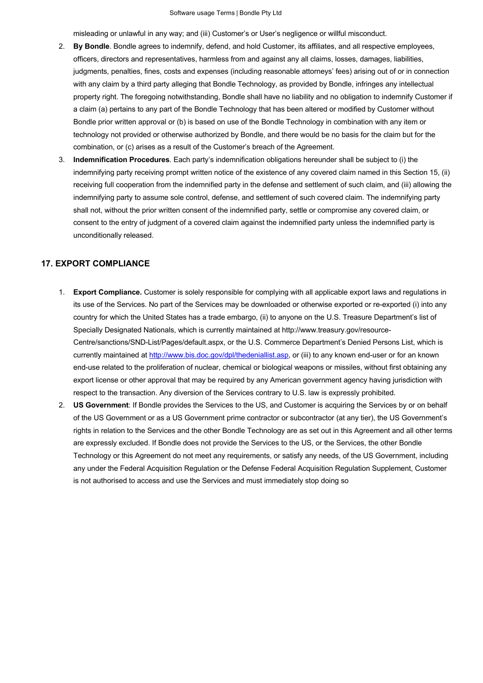misleading or unlawful in any way; and (iii) Customer's or User's negligence or willful misconduct.

- 2. **By Bondle**. Bondle agrees to indemnify, defend, and hold Customer, its affiliates, and all respective employees, officers, directors and representatives, harmless from and against any all claims, losses, damages, liabilities, judgments, penalties, fines, costs and expenses (including reasonable attorneys' fees) arising out of or in connection with any claim by a third party alleging that Bondle Technology, as provided by Bondle, infringes any intellectual property right. The foregoing notwithstanding, Bondle shall have no liability and no obligation to indemnify Customer if a claim (a) pertains to any part of the Bondle Technology that has been altered or modified by Customer without Bondle prior written approval or (b) is based on use of the Bondle Technology in combination with any item or technology not provided or otherwise authorized by Bondle, and there would be no basis for the claim but for the combination, or (c) arises as a result of the Customer's breach of the Agreement.
- 3. **Indemnification Procedures**. Each party's indemnification obligations hereunder shall be subject to (i) the indemnifying party receiving prompt written notice of the existence of any covered claim named in this Section 15, (ii) receiving full cooperation from the indemnified party in the defense and settlement of such claim, and (iii) allowing the indemnifying party to assume sole control, defense, and settlement of such covered claim. The indemnifying party shall not, without the prior written consent of the indemnified party, settle or compromise any covered claim, or consent to the entry of judgment of a covered claim against the indemnified party unless the indemnified party is unconditionally released.

#### **17. EXPORT COMPLIANCE**

- 1. **Export Compliance.** Customer is solely responsible for complying with all applicable export laws and regulations in its use of the Services. No part of the Services may be downloaded or otherwise exported or re-exported (i) into any country for which the United States has a trade embargo, (ii) to anyone on the U.S. Treasure Department's list of Specially Designated Nationals, which is currently maintained at http://www.treasury.gov/resource-Centre/sanctions/SND-List/Pages/default.aspx, or the U.S. Commerce Department's Denied Persons List, which is currently maintained at http://www.bis.doc.gov/dpl/thedeniallist.asp, or (iii) to any known end-user or for an known end-use related to the proliferation of nuclear, chemical or biological weapons or missiles, without first obtaining any export license or other approval that may be required by any American government agency having jurisdiction with respect to the transaction. Any diversion of the Services contrary to U.S. law is expressly prohibited.
- 2. **US Government**: If Bondle provides the Services to the US, and Customer is acquiring the Services by or on behalf of the US Government or as a US Government prime contractor or subcontractor (at any tier), the US Government's rights in relation to the Services and the other Bondle Technology are as set out in this Agreement and all other terms are expressly excluded. If Bondle does not provide the Services to the US, or the Services, the other Bondle Technology or this Agreement do not meet any requirements, or satisfy any needs, of the US Government, including any under the Federal Acquisition Regulation or the Defense Federal Acquisition Regulation Supplement, Customer is not authorised to access and use the Services and must immediately stop doing so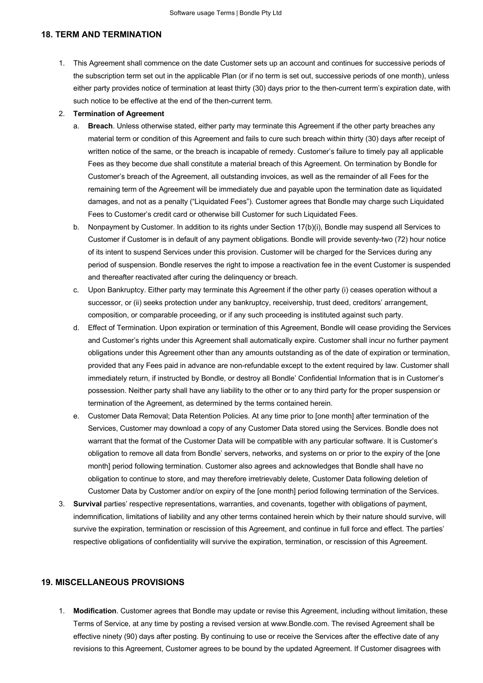#### **18. TERM AND TERMINATION**

1. This Agreement shall commence on the date Customer sets up an account and continues for successive periods of the subscription term set out in the applicable Plan (or if no term is set out, successive periods of one month), unless either party provides notice of termination at least thirty (30) days prior to the then-current term's expiration date, with such notice to be effective at the end of the then-current term.

#### 2. **Termination of Agreement**

- a. **Breach**. Unless otherwise stated, either party may terminate this Agreement if the other party breaches any material term or condition of this Agreement and fails to cure such breach within thirty (30) days after receipt of written notice of the same, or the breach is incapable of remedy. Customer's failure to timely pay all applicable Fees as they become due shall constitute a material breach of this Agreement. On termination by Bondle for Customer's breach of the Agreement, all outstanding invoices, as well as the remainder of all Fees for the remaining term of the Agreement will be immediately due and payable upon the termination date as liquidated damages, and not as a penalty ("Liquidated Fees"). Customer agrees that Bondle may charge such Liquidated Fees to Customer's credit card or otherwise bill Customer for such Liquidated Fees.
- b. Nonpayment by Customer. In addition to its rights under Section 17(b)(i), Bondle may suspend all Services to Customer if Customer is in default of any payment obligations. Bondle will provide seventy-two (72) hour notice of its intent to suspend Services under this provision. Customer will be charged for the Services during any period of suspension. Bondle reserves the right to impose a reactivation fee in the event Customer is suspended and thereafter reactivated after curing the delinquency or breach.
- c. Upon Bankruptcy. Either party may terminate this Agreement if the other party (i) ceases operation without a successor, or (ii) seeks protection under any bankruptcy, receivership, trust deed, creditors' arrangement, composition, or comparable proceeding, or if any such proceeding is instituted against such party.
- d. Effect of Termination. Upon expiration or termination of this Agreement, Bondle will cease providing the Services and Customer's rights under this Agreement shall automatically expire. Customer shall incur no further payment obligations under this Agreement other than any amounts outstanding as of the date of expiration or termination, provided that any Fees paid in advance are non-refundable except to the extent required by law. Customer shall immediately return, if instructed by Bondle, or destroy all Bondle' Confidential Information that is in Customer's possession. Neither party shall have any liability to the other or to any third party for the proper suspension or termination of the Agreement, as determined by the terms contained herein.
- e. Customer Data Removal; Data Retention Policies. At any time prior to [one month] after termination of the Services, Customer may download a copy of any Customer Data stored using the Services. Bondle does not warrant that the format of the Customer Data will be compatible with any particular software. It is Customer's obligation to remove all data from Bondle' servers, networks, and systems on or prior to the expiry of the [one month] period following termination. Customer also agrees and acknowledges that Bondle shall have no obligation to continue to store, and may therefore irretrievably delete, Customer Data following deletion of Customer Data by Customer and/or on expiry of the [one month] period following termination of the Services.
- 3. **Survival** parties' respective representations, warranties, and covenants, together with obligations of payment, indemnification, limitations of liability and any other terms contained herein which by their nature should survive, will survive the expiration, termination or rescission of this Agreement, and continue in full force and effect. The parties' respective obligations of confidentiality will survive the expiration, termination, or rescission of this Agreement.

### **19. MISCELLANEOUS PROVISIONS**

1. **Modification**. Customer agrees that Bondle may update or revise this Agreement, including without limitation, these Terms of Service, at any time by posting a revised version at www.Bondle.com. The revised Agreement shall be effective ninety (90) days after posting. By continuing to use or receive the Services after the effective date of any revisions to this Agreement, Customer agrees to be bound by the updated Agreement. If Customer disagrees with